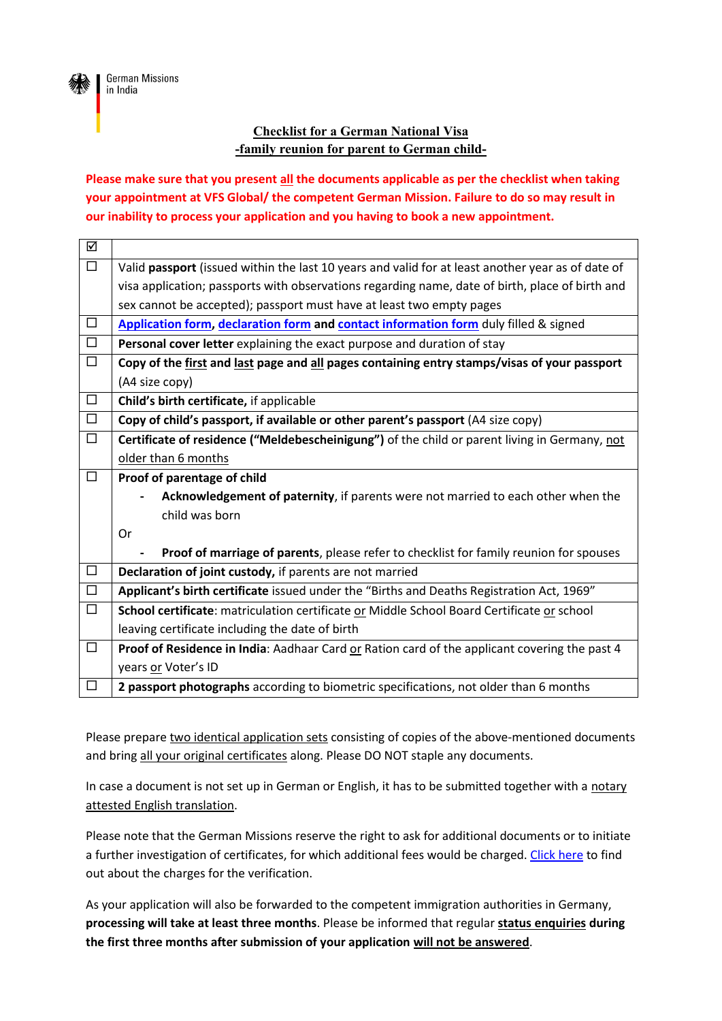

## **Checklist for a German National Visa -family reunion for parent to German child-**

**Please make sure that you present all the documents applicable as per the checklist when taking your appointment at VFS Global/ the competent German Mission. Failure to do so may result in our inability to process your application and you having to book a new appointment.**

| ☑      |                                                                                                   |
|--------|---------------------------------------------------------------------------------------------------|
| $\Box$ | Valid passport (issued within the last 10 years and valid for at least another year as of date of |
|        | visa application; passports with observations regarding name, date of birth, place of birth and   |
|        | sex cannot be accepted); passport must have at least two empty pages                              |
| □      | Application form, declaration form and contact information form duly filled & signed              |
| $\Box$ | Personal cover letter explaining the exact purpose and duration of stay                           |
| $\Box$ | Copy of the first and last page and all pages containing entry stamps/visas of your passport      |
|        | (A4 size copy)                                                                                    |
| $\Box$ | Child's birth certificate, if applicable                                                          |
| $\Box$ | Copy of child's passport, if available or other parent's passport (A4 size copy)                  |
| $\Box$ | Certificate of residence ("Meldebescheinigung") of the child or parent living in Germany, not     |
|        | older than 6 months                                                                               |
| $\Box$ | Proof of parentage of child                                                                       |
|        | Acknowledgement of paternity, if parents were not married to each other when the                  |
|        | child was born                                                                                    |
|        |                                                                                                   |
|        | Or                                                                                                |
|        | Proof of marriage of parents, please refer to checklist for family reunion for spouses            |
| $\Box$ | Declaration of joint custody, if parents are not married                                          |
| $\Box$ | Applicant's birth certificate issued under the "Births and Deaths Registration Act, 1969"         |
| $\Box$ | School certificate: matriculation certificate or Middle School Board Certificate or school        |
|        | leaving certificate including the date of birth                                                   |
| □      | Proof of Residence in India: Aadhaar Card or Ration card of the applicant covering the past 4     |
|        | years or Voter's ID                                                                               |

Please prepare two identical application sets consisting of copies of the above-mentioned documents and bring all your original certificates along. Please DO NOT staple any documents.

In case a document is not set up in German or English, it has to be submitted together with a notary attested English translation.

Please note that the German Missions reserve the right to ask for additional documents or to initiate a further investigation of certificates, for which additional fees would be charged. [Click here](https://india.diplo.de/in-en/service/documentverification/2004314) to find out about the charges for the verification.

As your application will also be forwarded to the competent immigration authorities in Germany, **processing will take at least three months**. Please be informed that regular **status enquiries during the first three months after submission of your application will not be answered**.